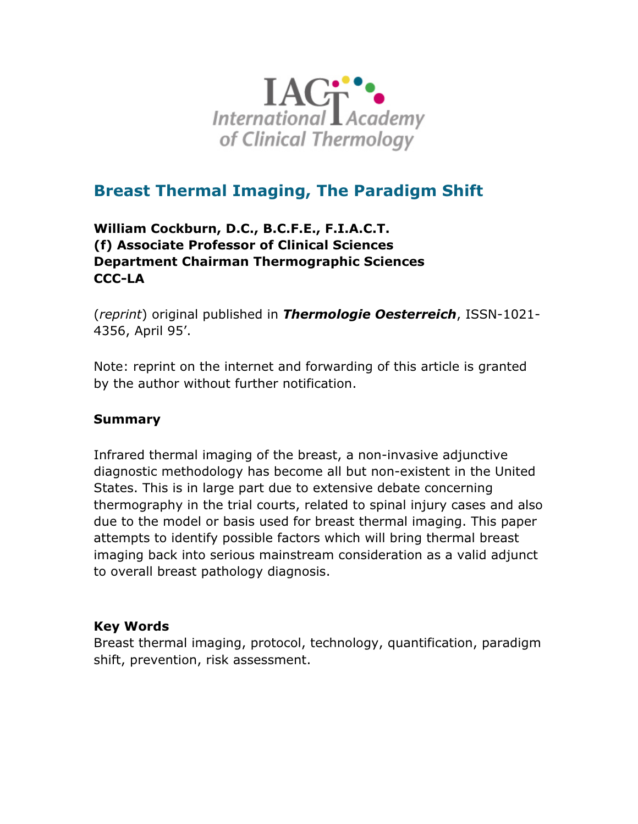

# **Breast Thermal Imaging, The Paradigm Shift**

#### **William Cockburn, D.C., B.C.F.E., F.I.A.C.T. (f) Associate Professor of Clinical Sciences Department Chairman Thermographic Sciences CCC-LA**

(*reprint*) original published in *Thermologie Oesterreich*, ISSN-1021- 4356, April 95'.

Note: reprint on the internet and forwarding of this article is granted by the author without further notification.

#### **Summary**

Infrared thermal imaging of the breast, a non-invasive adjunctive diagnostic methodology has become all but non-existent in the United States. This is in large part due to extensive debate concerning thermography in the trial courts, related to spinal injury cases and also due to the model or basis used for breast thermal imaging. This paper attempts to identify possible factors which will bring thermal breast imaging back into serious mainstream consideration as a valid adjunct to overall breast pathology diagnosis.

#### **Key Words**

Breast thermal imaging, protocol, technology, quantification, paradigm shift, prevention, risk assessment.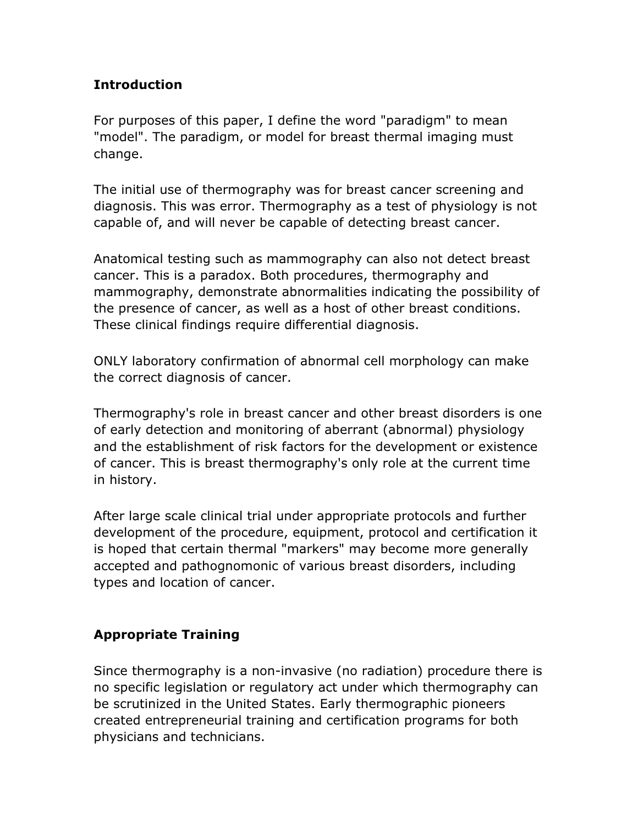#### **Introduction**

For purposes of this paper, I define the word "paradigm" to mean "model". The paradigm, or model for breast thermal imaging must change.

The initial use of thermography was for breast cancer screening and diagnosis. This was error. Thermography as a test of physiology is not capable of, and will never be capable of detecting breast cancer.

Anatomical testing such as mammography can also not detect breast cancer. This is a paradox. Both procedures, thermography and mammography, demonstrate abnormalities indicating the possibility of the presence of cancer, as well as a host of other breast conditions. These clinical findings require differential diagnosis.

ONLY laboratory confirmation of abnormal cell morphology can make the correct diagnosis of cancer.

Thermography's role in breast cancer and other breast disorders is one of early detection and monitoring of aberrant (abnormal) physiology and the establishment of risk factors for the development or existence of cancer. This is breast thermography's only role at the current time in history.

After large scale clinical trial under appropriate protocols and further development of the procedure, equipment, protocol and certification it is hoped that certain thermal "markers" may become more generally accepted and pathognomonic of various breast disorders, including types and location of cancer.

#### **Appropriate Training**

Since thermography is a non-invasive (no radiation) procedure there is no specific legislation or regulatory act under which thermography can be scrutinized in the United States. Early thermographic pioneers created entrepreneurial training and certification programs for both physicians and technicians.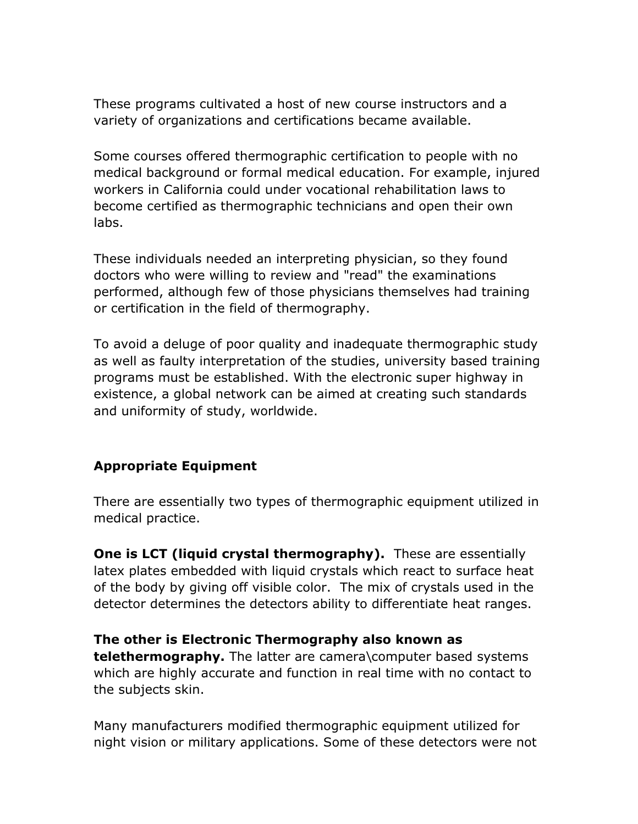These programs cultivated a host of new course instructors and a variety of organizations and certifications became available.

Some courses offered thermographic certification to people with no medical background or formal medical education. For example, injured workers in California could under vocational rehabilitation laws to become certified as thermographic technicians and open their own labs.

These individuals needed an interpreting physician, so they found doctors who were willing to review and "read" the examinations performed, although few of those physicians themselves had training or certification in the field of thermography.

To avoid a deluge of poor quality and inadequate thermographic study as well as faulty interpretation of the studies, university based training programs must be established. With the electronic super highway in existence, a global network can be aimed at creating such standards and uniformity of study, worldwide.

# **Appropriate Equipment**

There are essentially two types of thermographic equipment utilized in medical practice.

**One is LCT (liquid crystal thermography).** These are essentially latex plates embedded with liquid crystals which react to surface heat of the body by giving off visible color. The mix of crystals used in the detector determines the detectors ability to differentiate heat ranges.

**The other is Electronic Thermography also known as telethermography.** The latter are camera\computer based systems which are highly accurate and function in real time with no contact to the subjects skin.

Many manufacturers modified thermographic equipment utilized for night vision or military applications. Some of these detectors were not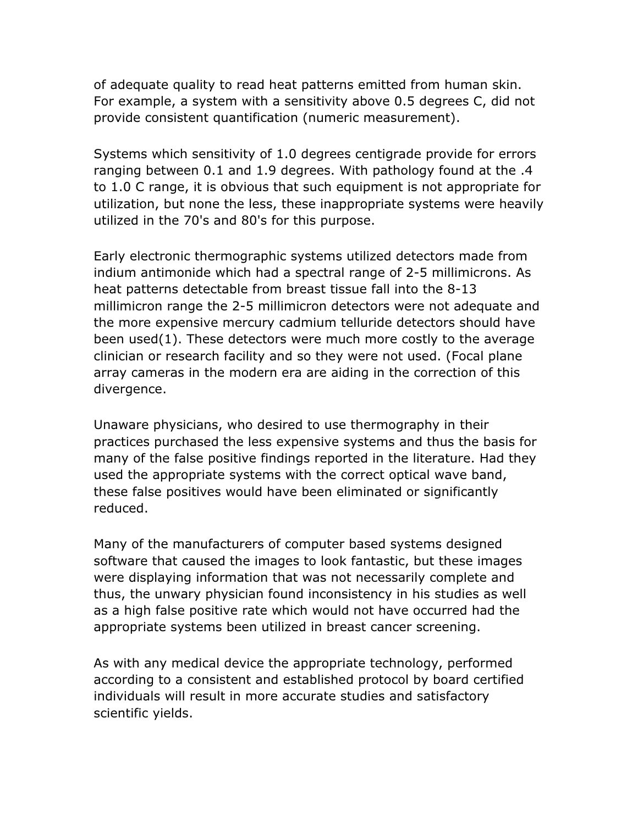of adequate quality to read heat patterns emitted from human skin. For example, a system with a sensitivity above 0.5 degrees C, did not provide consistent quantification (numeric measurement).

Systems which sensitivity of 1.0 degrees centigrade provide for errors ranging between 0.1 and 1.9 degrees. With pathology found at the .4 to 1.0 C range, it is obvious that such equipment is not appropriate for utilization, but none the less, these inappropriate systems were heavily utilized in the 70's and 80's for this purpose.

Early electronic thermographic systems utilized detectors made from indium antimonide which had a spectral range of 2-5 millimicrons. As heat patterns detectable from breast tissue fall into the 8-13 millimicron range the 2-5 millimicron detectors were not adequate and the more expensive mercury cadmium telluride detectors should have been used(1). These detectors were much more costly to the average clinician or research facility and so they were not used. (Focal plane array cameras in the modern era are aiding in the correction of this divergence.

Unaware physicians, who desired to use thermography in their practices purchased the less expensive systems and thus the basis for many of the false positive findings reported in the literature. Had they used the appropriate systems with the correct optical wave band, these false positives would have been eliminated or significantly reduced.

Many of the manufacturers of computer based systems designed software that caused the images to look fantastic, but these images were displaying information that was not necessarily complete and thus, the unwary physician found inconsistency in his studies as well as a high false positive rate which would not have occurred had the appropriate systems been utilized in breast cancer screening.

As with any medical device the appropriate technology, performed according to a consistent and established protocol by board certified individuals will result in more accurate studies and satisfactory scientific yields.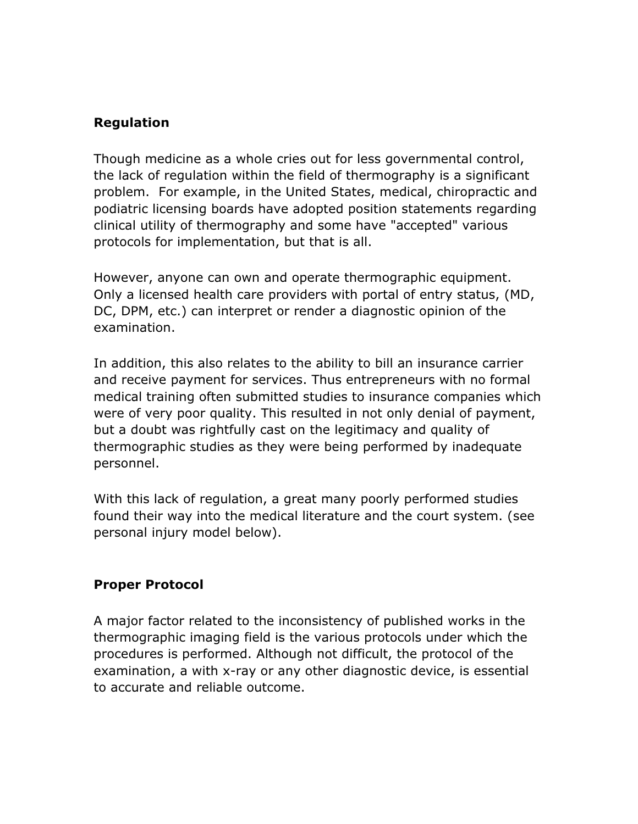## **Regulation**

Though medicine as a whole cries out for less governmental control, the lack of regulation within the field of thermography is a significant problem. For example, in the United States, medical, chiropractic and podiatric licensing boards have adopted position statements regarding clinical utility of thermography and some have "accepted" various protocols for implementation, but that is all.

However, anyone can own and operate thermographic equipment. Only a licensed health care providers with portal of entry status, (MD, DC, DPM, etc.) can interpret or render a diagnostic opinion of the examination.

In addition, this also relates to the ability to bill an insurance carrier and receive payment for services. Thus entrepreneurs with no formal medical training often submitted studies to insurance companies which were of very poor quality. This resulted in not only denial of payment, but a doubt was rightfully cast on the legitimacy and quality of thermographic studies as they were being performed by inadequate personnel.

With this lack of regulation, a great many poorly performed studies found their way into the medical literature and the court system. (see personal injury model below).

#### **Proper Protocol**

A major factor related to the inconsistency of published works in the thermographic imaging field is the various protocols under which the procedures is performed. Although not difficult, the protocol of the examination, a with x-ray or any other diagnostic device, is essential to accurate and reliable outcome.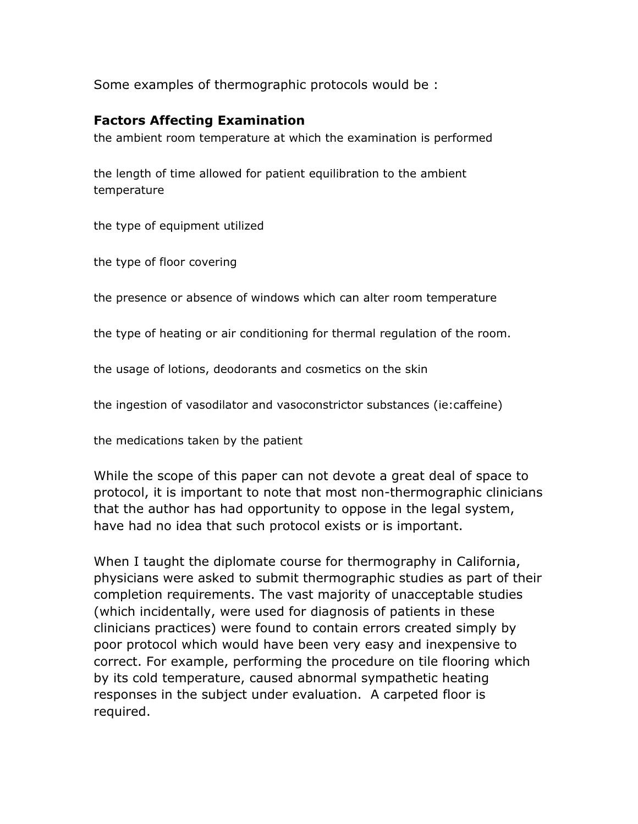Some examples of thermographic protocols would be :

#### **Factors Affecting Examination**

the ambient room temperature at which the examination is performed

the length of time allowed for patient equilibration to the ambient temperature

the type of equipment utilized

the type of floor covering

the presence or absence of windows which can alter room temperature

the type of heating or air conditioning for thermal regulation of the room.

the usage of lotions, deodorants and cosmetics on the skin

the ingestion of vasodilator and vasoconstrictor substances (ie:caffeine)

the medications taken by the patient

While the scope of this paper can not devote a great deal of space to protocol, it is important to note that most non-thermographic clinicians that the author has had opportunity to oppose in the legal system, have had no idea that such protocol exists or is important.

When I taught the diplomate course for thermography in California, physicians were asked to submit thermographic studies as part of their completion requirements. The vast majority of unacceptable studies (which incidentally, were used for diagnosis of patients in these clinicians practices) were found to contain errors created simply by poor protocol which would have been very easy and inexpensive to correct. For example, performing the procedure on tile flooring which by its cold temperature, caused abnormal sympathetic heating responses in the subject under evaluation. A carpeted floor is required.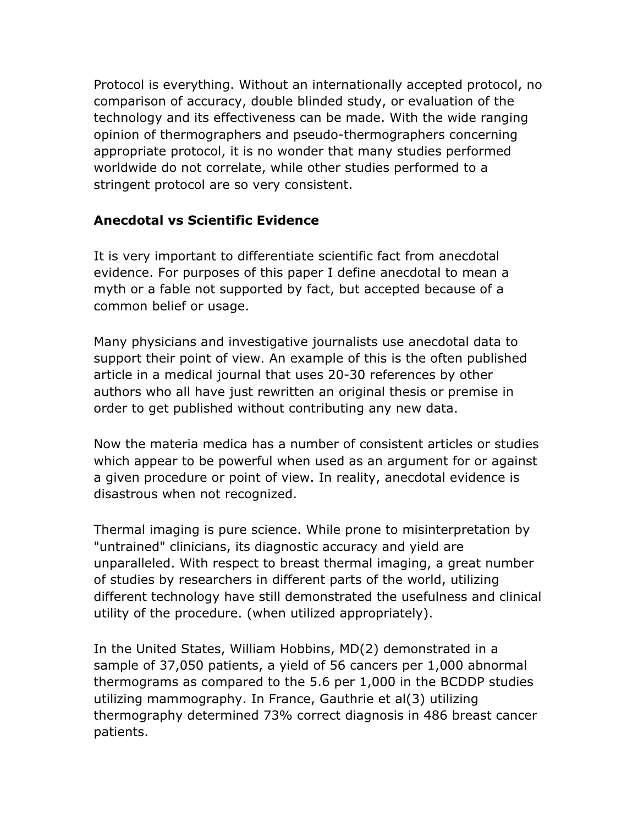Protocol is everything. Without an internationally accepted protocol, no comparison of accuracy, double blinded study, or evaluation of the technology and its effectiveness can be made. With the wide ranging opinion of thermographers and pseudo-thermographers concerning appropriate protocol, it is no wonder that many studies performed worldwide do not correlate, while other studies performed to a stringent protocol are so very consistent.

#### **Anecdotal vs Scientific Evidence**

It is very important to differentiate scientific fact from anecdotal evidence. For purposes of this paper I define anecdotal to mean a myth or a fable not supported by fact, but accepted because of a common belief or usage.

Many physicians and investigative journalists use anecdotal data to support their point of view. An example of this is the often published article in a medical journal that uses 20-30 references by other authors who all have just rewritten an original thesis or premise in order to get published without contributing any new data.

Now the materia medica has a number of consistent articles or studies which appear to be powerful when used as an argument for or against a given procedure or point of view. In reality, anecdotal evidence is disastrous when not recognized.

Thermal imaging is pure science. While prone to misinterpretation by "untrained" clinicians, its diagnostic accuracy and yield are unparalleled. With respect to breast thermal imaging, a great number of studies by researchers in different parts of the world, utilizing different technology have still demonstrated the usefulness and clinical utility of the procedure. (when utilized appropriately).

In the United States, William Hobbins, MD(2) demonstrated in a sample of 37,050 patients, a yield of 56 cancers per 1,000 abnormal thermograms as compared to the 5.6 per 1,000 in the BCDDP studies utilizing mammography. In France, Gauthrie et al(3) utilizing thermography determined 73% correct diagnosis in 486 breast cancer patients.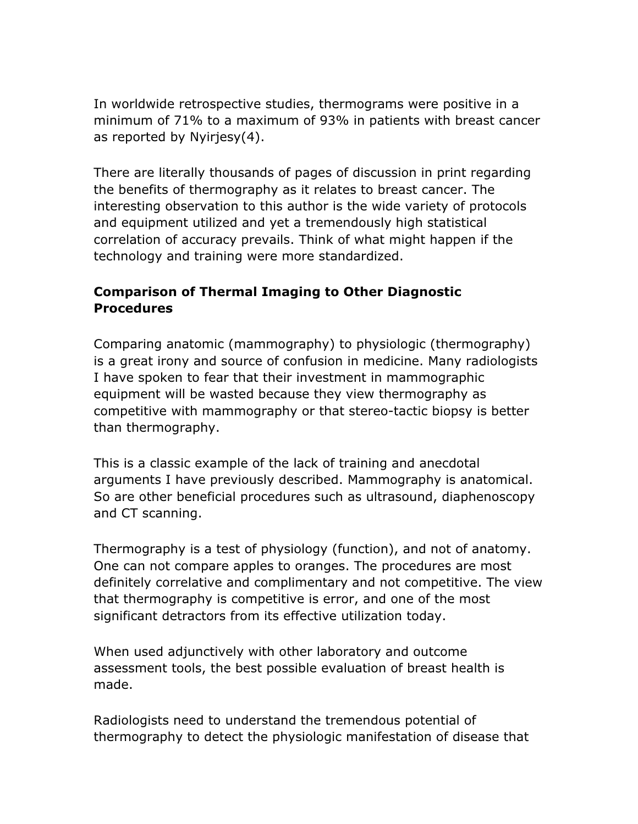In worldwide retrospective studies, thermograms were positive in a minimum of 71% to a maximum of 93% in patients with breast cancer as reported by Nyirjesy(4).

There are literally thousands of pages of discussion in print regarding the benefits of thermography as it relates to breast cancer. The interesting observation to this author is the wide variety of protocols and equipment utilized and yet a tremendously high statistical correlation of accuracy prevails. Think of what might happen if the technology and training were more standardized.

### **Comparison of Thermal Imaging to Other Diagnostic Procedures**

Comparing anatomic (mammography) to physiologic (thermography) is a great irony and source of confusion in medicine. Many radiologists I have spoken to fear that their investment in mammographic equipment will be wasted because they view thermography as competitive with mammography or that stereo-tactic biopsy is better than thermography.

This is a classic example of the lack of training and anecdotal arguments I have previously described. Mammography is anatomical. So are other beneficial procedures such as ultrasound, diaphenoscopy and CT scanning.

Thermography is a test of physiology (function), and not of anatomy. One can not compare apples to oranges. The procedures are most definitely correlative and complimentary and not competitive. The view that thermography is competitive is error, and one of the most significant detractors from its effective utilization today.

When used adjunctively with other laboratory and outcome assessment tools, the best possible evaluation of breast health is made.

Radiologists need to understand the tremendous potential of thermography to detect the physiologic manifestation of disease that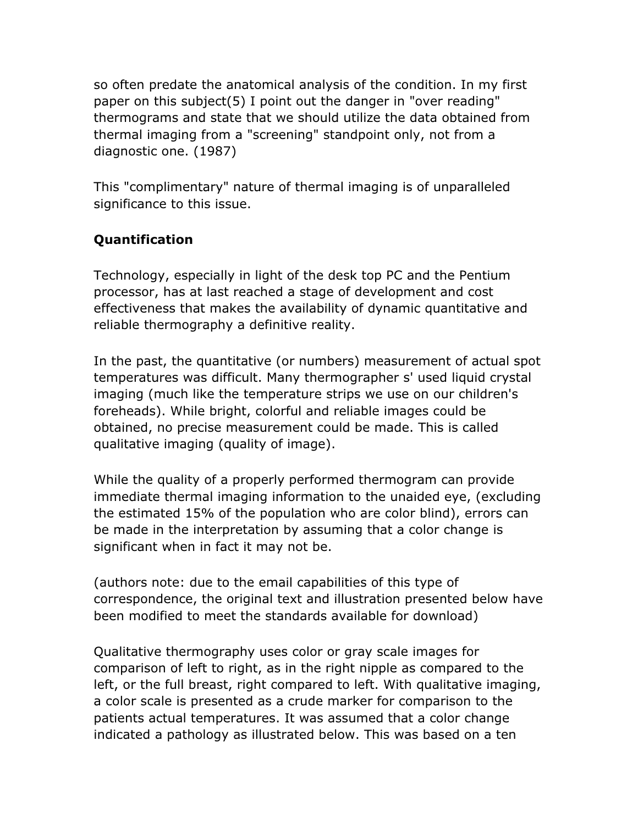so often predate the anatomical analysis of the condition. In my first paper on this subject(5) I point out the danger in "over reading" thermograms and state that we should utilize the data obtained from thermal imaging from a "screening" standpoint only, not from a diagnostic one. (1987)

This "complimentary" nature of thermal imaging is of unparalleled significance to this issue.

# **Quantification**

Technology, especially in light of the desk top PC and the Pentium processor, has at last reached a stage of development and cost effectiveness that makes the availability of dynamic quantitative and reliable thermography a definitive reality.

In the past, the quantitative (or numbers) measurement of actual spot temperatures was difficult. Many thermographer s' used liquid crystal imaging (much like the temperature strips we use on our children's foreheads). While bright, colorful and reliable images could be obtained, no precise measurement could be made. This is called qualitative imaging (quality of image).

While the quality of a properly performed thermogram can provide immediate thermal imaging information to the unaided eye, (excluding the estimated 15% of the population who are color blind), errors can be made in the interpretation by assuming that a color change is significant when in fact it may not be.

(authors note: due to the email capabilities of this type of correspondence, the original text and illustration presented below have been modified to meet the standards available for download)

Qualitative thermography uses color or gray scale images for comparison of left to right, as in the right nipple as compared to the left, or the full breast, right compared to left. With qualitative imaging, a color scale is presented as a crude marker for comparison to the patients actual temperatures. It was assumed that a color change indicated a pathology as illustrated below. This was based on a ten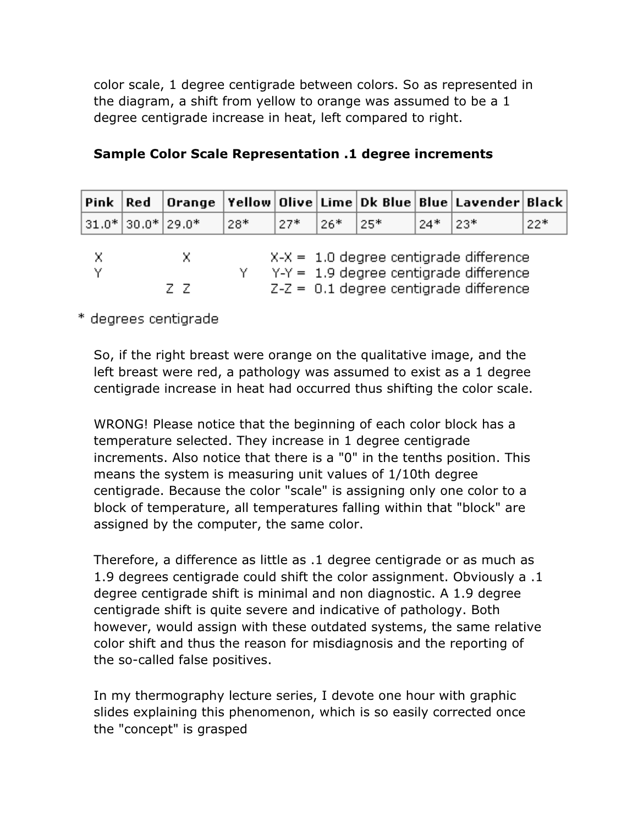color scale, 1 degree centigrade between colors. So as represented in the diagram, a shift from yellow to orange was assumed to be a 1 degree centigrade increase in heat, left compared to right.

| $ 31.0* 30.0* 29.0* $ |                                                | 28* | $127*$                                   | 126* ∴                                   | 125* | 24* 23* |  | $22*$ |  |
|-----------------------|------------------------------------------------|-----|------------------------------------------|------------------------------------------|------|---------|--|-------|--|
| x                     | $X-X = 1.0$ degree centigrade difference<br>х. |     |                                          |                                          |      |         |  |       |  |
| ٧                     |                                                |     | $Y-Y = 1.9$ degree centigrade difference |                                          |      |         |  |       |  |
|                       |                                                |     |                                          | $Z-Z = 0.1$ degree centigrade difference |      |         |  |       |  |

#### **Sample Color Scale Representation .1 degree increments**

\* degrees centigrade :

So, if the right breast were orange on the qualitative image, and the left breast were red, a pathology was assumed to exist as a 1 degree centigrade increase in heat had occurred thus shifting the color scale.

WRONG! Please notice that the beginning of each color block has a temperature selected. They increase in 1 degree centigrade increments. Also notice that there is a "0" in the tenths position. This means the system is measuring unit values of 1/10th degree centigrade. Because the color "scale" is assigning only one color to a block of temperature, all temperatures falling within that "block" are assigned by the computer, the same color.

Therefore, a difference as little as .1 degree centigrade or as much as 1.9 degrees centigrade could shift the color assignment. Obviously a .1 degree centigrade shift is minimal and non diagnostic. A 1.9 degree centigrade shift is quite severe and indicative of pathology. Both however, would assign with these outdated systems, the same relative color shift and thus the reason for misdiagnosis and the reporting of the so-called false positives.

In my thermography lecture series, I devote one hour with graphic slides explaining this phenomenon, which is so easily corrected once the "concept" is grasped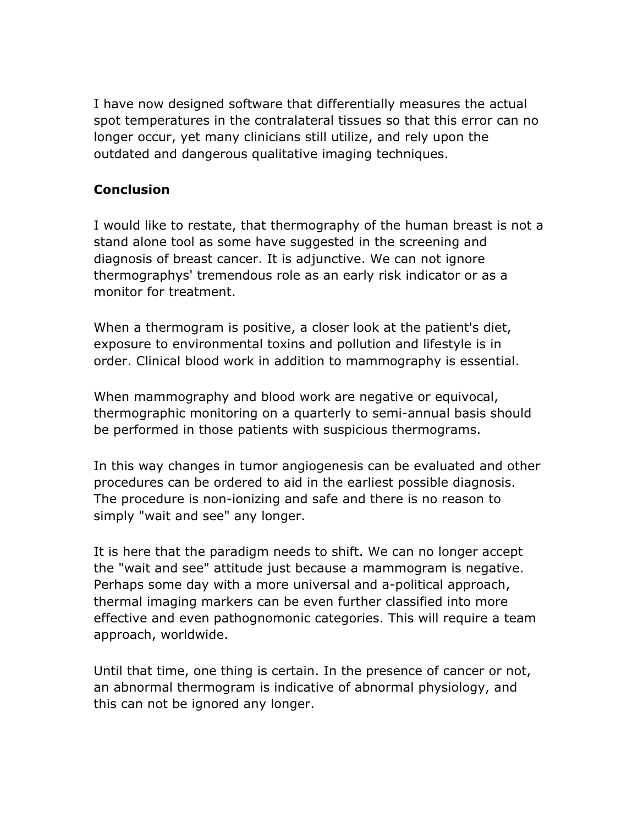I have now designed software that differentially measures the actual spot temperatures in the contralateral tissues so that this error can no longer occur, yet many clinicians still utilize, and rely upon the outdated and dangerous qualitative imaging techniques.

#### **Conclusion**

I would like to restate, that thermography of the human breast is not a stand alone tool as some have suggested in the screening and diagnosis of breast cancer. It is adjunctive. We can not ignore thermographys' tremendous role as an early risk indicator or as a monitor for treatment.

When a thermogram is positive, a closer look at the patient's diet, exposure to environmental toxins and pollution and lifestyle is in order. Clinical blood work in addition to mammography is essential.

When mammography and blood work are negative or equivocal, thermographic monitoring on a quarterly to semi-annual basis should be performed in those patients with suspicious thermograms.

In this way changes in tumor angiogenesis can be evaluated and other procedures can be ordered to aid in the earliest possible diagnosis. The procedure is non-ionizing and safe and there is no reason to simply "wait and see" any longer.

It is here that the paradigm needs to shift. We can no longer accept the "wait and see" attitude just because a mammogram is negative. Perhaps some day with a more universal and a-political approach, thermal imaging markers can be even further classified into more effective and even pathognomonic categories. This will require a team approach, worldwide.

Until that time, one thing is certain. In the presence of cancer or not, an abnormal thermogram is indicative of abnormal physiology, and this can not be ignored any longer.